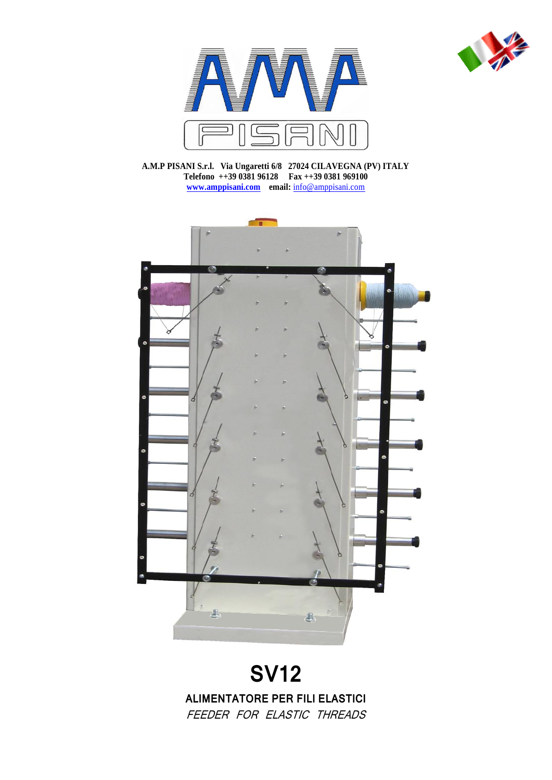



**A.M.P PISANI S.r.l. Via Ungaretti 6/8 27024 CILAVEGNA (PV) ITALY Telefono ++39 0381 96128 Fax ++39 0381 969100 [www.amppisani.com](http://www.amppisani.com/) email:** [info@amppisani.com](mailto:info@amppisani.com)



# **SV12**

**ALIMENTATORE PER FILI ELASTICI** FEEDER FOR ELASTIC THREADS